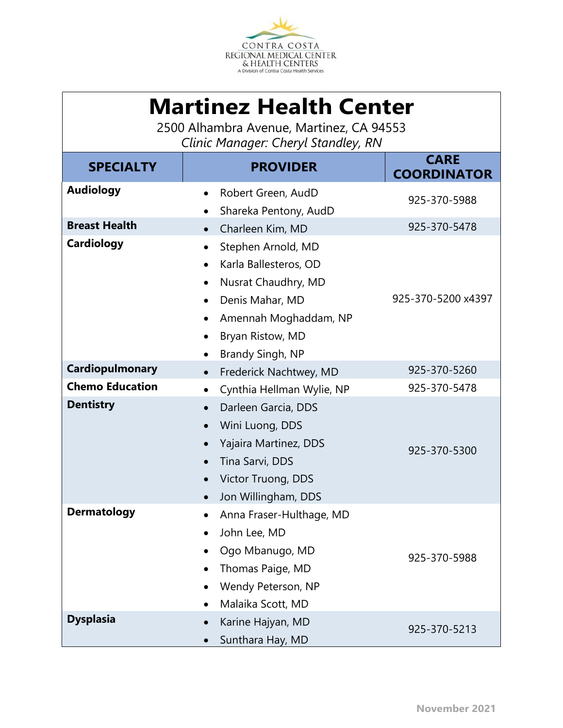

| <b>Martinez Health Center</b><br>2500 Alhambra Avenue, Martinez, CA 94553<br>Clinic Manager: Cheryl Standley, RN |                                                                                                                                                                                                     |                                   |  |  |  |  |  |
|------------------------------------------------------------------------------------------------------------------|-----------------------------------------------------------------------------------------------------------------------------------------------------------------------------------------------------|-----------------------------------|--|--|--|--|--|
| <b>SPECIALTY</b>                                                                                                 | <b>PROVIDER</b>                                                                                                                                                                                     | <b>CARE</b><br><b>COORDINATOR</b> |  |  |  |  |  |
| <b>Audiology</b>                                                                                                 | Robert Green, AudD<br>Shareka Pentony, AudD                                                                                                                                                         | 925-370-5988                      |  |  |  |  |  |
| <b>Breast Health</b>                                                                                             | Charleen Kim, MD                                                                                                                                                                                    | 925-370-5478                      |  |  |  |  |  |
| <b>Cardiology</b>                                                                                                | Stephen Arnold, MD<br>Karla Ballesteros, OD<br>Nusrat Chaudhry, MD<br>$\bullet$<br>Denis Mahar, MD<br>$\bullet$<br>Amennah Moghaddam, NP<br>Bryan Ristow, MD<br>$\bullet$                           | 925-370-5200 x4397                |  |  |  |  |  |
| Cardiopulmonary                                                                                                  | Brandy Singh, NP                                                                                                                                                                                    |                                   |  |  |  |  |  |
| <b>Chemo Education</b>                                                                                           | Frederick Nachtwey, MD<br>$\bullet$                                                                                                                                                                 | 925-370-5260<br>925-370-5478      |  |  |  |  |  |
| <b>Dentistry</b>                                                                                                 | Cynthia Hellman Wylie, NP<br>Darleen Garcia, DDS<br>$\bullet$<br>Wini Luong, DDS<br>$\bullet$<br>Yajaira Martinez, DDS<br>$\bullet$<br>Tina Sarvi, DDS<br>Victor Truong, DDS<br>Jon Willingham, DDS | 925-370-5300                      |  |  |  |  |  |
| <b>Dermatology</b>                                                                                               | Anna Fraser-Hulthage, MD<br>John Lee, MD<br>Ogo Mbanugo, MD<br>Thomas Paige, MD<br>Wendy Peterson, NP<br>Malaika Scott, MD                                                                          | 925-370-5988                      |  |  |  |  |  |
| <b>Dysplasia</b>                                                                                                 | Karine Hajyan, MD<br>Sunthara Hay, MD                                                                                                                                                               | 925-370-5213                      |  |  |  |  |  |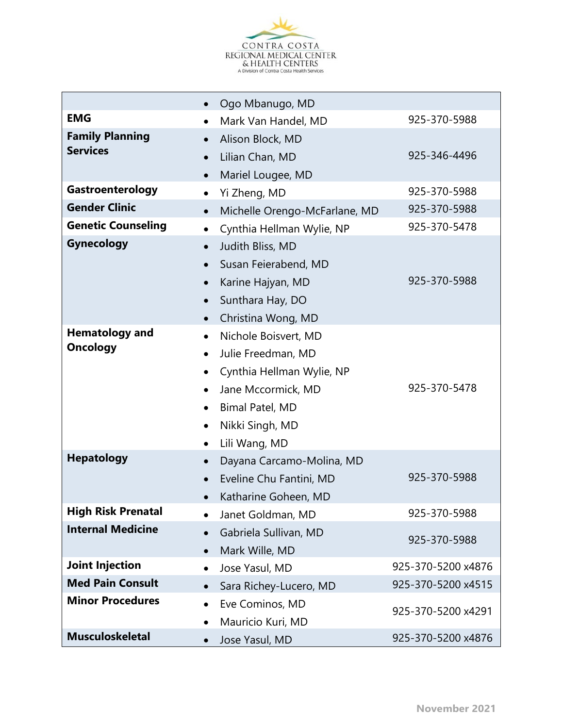

|                                           | $\bullet$                                                                  | Ogo Mbanugo, MD                                                                                                                                      |                    |
|-------------------------------------------|----------------------------------------------------------------------------|------------------------------------------------------------------------------------------------------------------------------------------------------|--------------------|
| <b>EMG</b>                                | $\bullet$                                                                  | Mark Van Handel, MD                                                                                                                                  | 925-370-5988       |
| <b>Family Planning</b><br><b>Services</b> | $\bullet$<br>$\bullet$<br>$\bullet$                                        | Alison Block, MD<br>Lilian Chan, MD<br>Mariel Lougee, MD                                                                                             | 925-346-4496       |
| Gastroenterology                          | $\bullet$                                                                  | Yi Zheng, MD                                                                                                                                         | 925-370-5988       |
| <b>Gender Clinic</b>                      | $\bullet$                                                                  | Michelle Orengo-McFarlane, MD                                                                                                                        | 925-370-5988       |
| <b>Genetic Counseling</b>                 | $\bullet$                                                                  | Cynthia Hellman Wylie, NP                                                                                                                            | 925-370-5478       |
| <b>Gynecology</b>                         | $\bullet$<br>$\bullet$<br>$\bullet$<br>$\bullet$<br>$\bullet$              | Judith Bliss, MD<br>Susan Feierabend, MD<br>Karine Hajyan, MD<br>Sunthara Hay, DO<br>Christina Wong, MD                                              | 925-370-5988       |
| <b>Hematology and</b><br><b>Oncology</b>  | $\bullet$<br>$\bullet$<br>$\bullet$<br>$\bullet$<br>$\bullet$<br>$\bullet$ | Nichole Boisvert, MD<br>Julie Freedman, MD<br>Cynthia Hellman Wylie, NP<br>Jane Mccormick, MD<br>Bimal Patel, MD<br>Nikki Singh, MD<br>Lili Wang, MD | 925-370-5478       |
| <b>Hepatology</b>                         | $\bullet$<br>$\bullet$                                                     | Dayana Carcamo-Molina, MD<br>Eveline Chu Fantini, MD<br>Katharine Goheen, MD                                                                         | 925-370-5988       |
| <b>High Risk Prenatal</b>                 | $\bullet$                                                                  | Janet Goldman, MD                                                                                                                                    | 925-370-5988       |
| <b>Internal Medicine</b>                  | $\bullet$<br>$\bullet$                                                     | Gabriela Sullivan, MD<br>Mark Wille, MD                                                                                                              | 925-370-5988       |
| <b>Joint Injection</b>                    | ٠                                                                          | Jose Yasul, MD                                                                                                                                       | 925-370-5200 x4876 |
| <b>Med Pain Consult</b>                   | $\bullet$                                                                  | Sara Richey-Lucero, MD                                                                                                                               | 925-370-5200 x4515 |
| <b>Minor Procedures</b>                   | $\bullet$<br>$\bullet$                                                     | Eve Cominos, MD<br>Mauricio Kuri, MD                                                                                                                 | 925-370-5200 x4291 |
| <b>Musculoskeletal</b>                    | $\bullet$                                                                  | Jose Yasul, MD                                                                                                                                       | 925-370-5200 x4876 |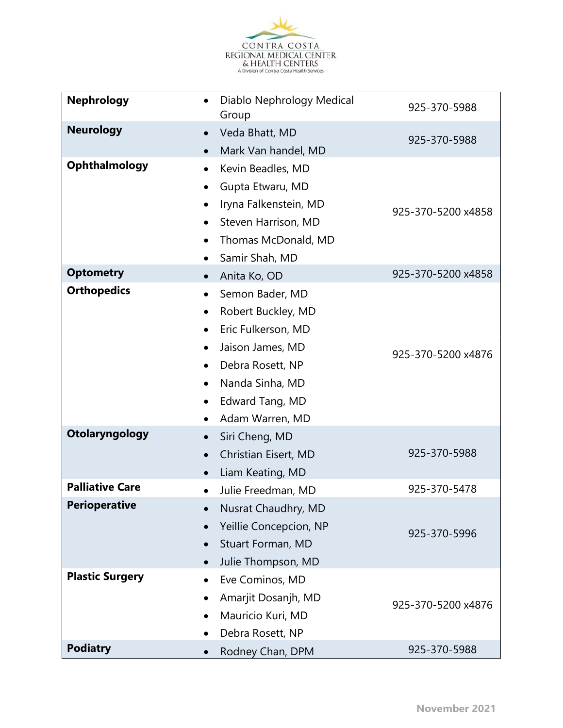

| <b>Nephrology</b>      | $\bullet$ | Diablo Nephrology Medical<br>Group | 925-370-5988       |
|------------------------|-----------|------------------------------------|--------------------|
| <b>Neurology</b>       | $\bullet$ | Veda Bhatt, MD                     | 925-370-5988       |
|                        | $\bullet$ | Mark Van handel, MD                |                    |
| <b>Ophthalmology</b>   | $\bullet$ | Kevin Beadles, MD                  |                    |
|                        | ٠         | Gupta Etwaru, MD                   |                    |
|                        | ٠         | Iryna Falkenstein, MD              | 925-370-5200 x4858 |
|                        | $\bullet$ | Steven Harrison, MD                |                    |
|                        | $\bullet$ | Thomas McDonald, MD                |                    |
|                        | ٠         | Samir Shah, MD                     |                    |
| <b>Optometry</b>       | $\bullet$ | Anita Ko, OD                       | 925-370-5200 x4858 |
| <b>Orthopedics</b>     | $\bullet$ | Semon Bader, MD                    |                    |
|                        | $\bullet$ | Robert Buckley, MD                 |                    |
|                        | $\bullet$ | Eric Fulkerson, MD                 |                    |
|                        | $\bullet$ | Jaison James, MD                   | 925-370-5200 x4876 |
|                        |           | Debra Rosett, NP                   |                    |
|                        |           | Nanda Sinha, MD                    |                    |
|                        |           | Edward Tang, MD                    |                    |
|                        |           | Adam Warren, MD                    |                    |
| Otolaryngology         | $\bullet$ | Siri Cheng, MD                     |                    |
|                        | $\bullet$ | Christian Eisert, MD               | 925-370-5988       |
|                        |           | Liam Keating, MD                   |                    |
| <b>Palliative Care</b> | $\bullet$ | Julie Freedman, MD                 | 925-370-5478       |
| <b>Perioperative</b>   |           | Nusrat Chaudhry, MD                |                    |
|                        |           | Yeillie Concepcion, NP             | 925-370-5996       |
|                        |           | Stuart Forman, MD                  |                    |
|                        | $\bullet$ | Julie Thompson, MD                 |                    |
| <b>Plastic Surgery</b> | $\bullet$ | Eve Cominos, MD                    |                    |
|                        | $\bullet$ | Amarjit Dosanjh, MD                | 925-370-5200 x4876 |
|                        | $\bullet$ | Mauricio Kuri, MD                  |                    |
|                        |           | Debra Rosett, NP                   |                    |
| <b>Podiatry</b>        |           | Rodney Chan, DPM                   | 925-370-5988       |